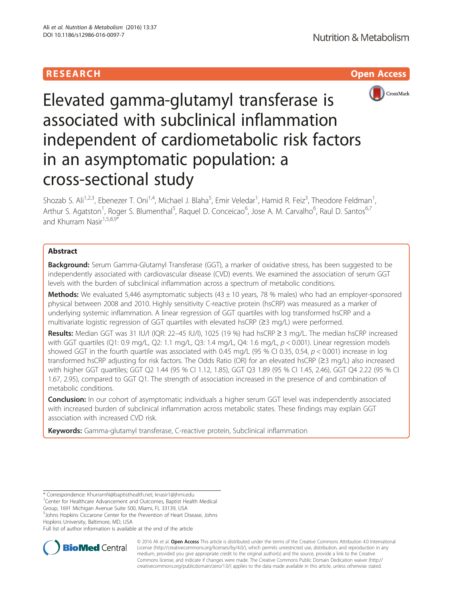# **RESEARCH CHILD CONTROL** CONTROL CONTROL CONTROL CONTROL CONTROL CONTROL CONTROL CONTROL CONTROL CONTROL CONTROL



# Elevated gamma-glutamyl transferase is associated with subclinical inflammation independent of cardiometabolic risk factors in an asymptomatic population: a cross-sectional study

Shozab S. Ali<sup>1,2,3</sup>, Ebenezer T. Oni<sup>1,4</sup>, Michael J. Blaha<sup>5</sup>, Emir Veledar<sup>1</sup>, Hamid R. Feiz<sup>3</sup>, Theodore Feldman<sup>1</sup> , Arthur S. Agatston<sup>1</sup>, Roger S. Blumenthal<sup>5</sup>, Raquel D. Conceicao<sup>6</sup>, Jose A. M. Carvalho<sup>6</sup>, Raul D. Santos<sup>6,7</sup> and Khurram Nasir<sup>1,5,8,9\*</sup>

# Abstract

Background: Serum Gamma-Glutamyl Transferase (GGT), a marker of oxidative stress, has been suggested to be independently associated with cardiovascular disease (CVD) events. We examined the association of serum GGT levels with the burden of subclinical inflammation across a spectrum of metabolic conditions.

Methods: We evaluated 5,446 asymptomatic subjects (43 ± 10 years, 78 % males) who had an employer-sponsored physical between 2008 and 2010. Highly sensitivity C-reactive protein (hsCRP) was measured as a marker of underlying systemic inflammation. A linear regression of GGT quartiles with log transformed hsCRP and a multivariate logistic regression of GGT quartiles with elevated hsCRP (≥3 mg/L) were performed.

Results: Median GGT was 31 IU/l (IQR: 22-45 IU/l), 1025 (19 %) had hsCRP ≥ 3 mg/L. The median hsCRP increased with GGT quartiles (Q1: 0.9 mg/L, Q2: 1.1 mg/L, Q3: 1.4 mg/L, Q4: 1.6 mg/L,  $p < 0.001$ ). Linear regression models showed GGT in the fourth quartile was associated with 0.45 mg/L (95 % CI 0.35, 0.54,  $p < 0.001$ ) increase in log transformed hsCRP adjusting for risk factors. The Odds Ratio (OR) for an elevated hsCRP (≥3 mg/L) also increased with higher GGT quartiles; GGT Q2 1.44 (95 % CI 1.12, 1.85), GGT Q3 1.89 (95 % CI 1.45, 2.46), GGT Q4 2.22 (95 % CI 1.67, 2.95), compared to GGT Q1. The strength of association increased in the presence of and combination of metabolic conditions.

**Conclusion:** In our cohort of asymptomatic individuals a higher serum GGT level was independently associated with increased burden of subclinical inflammation across metabolic states. These findings may explain GGT association with increased CVD risk.

Keywords: Gamma-glutamyl transferase, C-reactive protein, Subclinical inflammation

<sup>1</sup> Center for Healthcare Advancement and Outcomes, Baptist Health Medical

Group, 1691 Michigan Avenue Suite 500, Miami, FL 33139, USA 5 Johns Hopkins Ciccarone Center for the Prevention of Heart Disease, Johns

Hopkins University, Baltimore, MD, USA

Full list of author information is available at the end of the article



© 2016 Ali et al. Open Access This article is distributed under the terms of the Creative Commons Attribution 4.0 International License ([http://creativecommons.org/licenses/by/4.0/\)](http://creativecommons.org/licenses/by/4.0/), which permits unrestricted use, distribution, and reproduction in any medium, provided you give appropriate credit to the original author(s) and the source, provide a link to the Creative Commons license, and indicate if changes were made. The Creative Commons Public Domain Dedication waiver ([http://](http://creativecommons.org/publicdomain/zero/1.0/) [creativecommons.org/publicdomain/zero/1.0/\)](http://creativecommons.org/publicdomain/zero/1.0/) applies to the data made available in this article, unless otherwise stated.

<sup>\*</sup> Correspondence: [KhurramN@baptisthealth.net](mailto:KhurramN@baptisthealth.net); [knasir1@jhmi.edu](mailto:knasir1@jhmi.edu) <sup>1</sup>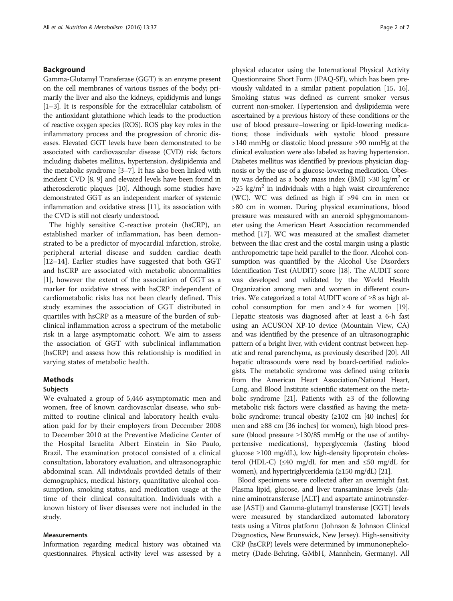# Background

Gamma-Glutamyl Transferase (GGT) is an enzyme present on the cell membranes of various tissues of the body; primarily the liver and also the kidneys, epididymis and lungs [[1](#page-6-0)–[3\]](#page-6-0). It is responsible for the extracellular catabolism of the antioxidant glutathione which leads to the production of reactive oxygen species (ROS). ROS play key roles in the inflammatory process and the progression of chronic diseases. Elevated GGT levels have been demonstrated to be associated with cardiovascular disease (CVD) risk factors including diabetes mellitus, hypertension, dyslipidemia and the metabolic syndrome [\[3](#page-6-0)–[7](#page-6-0)]. It has also been linked with incident CVD [[8](#page-6-0), [9](#page-6-0)] and elevated levels have been found in atherosclerotic plaques [[10](#page-6-0)]. Although some studies have demonstrated GGT as an independent marker of systemic inflammation and oxidative stress [\[11](#page-6-0)], its association with the CVD is still not clearly understood.

The highly sensitive C-reactive protein (hsCRP), an established marker of inflammation, has been demonstrated to be a predictor of myocardial infarction, stroke, peripheral arterial disease and sudden cardiac death [[12](#page-6-0)–[14](#page-6-0)]. Earlier studies have suggested that both GGT and hsCRP are associated with metabolic abnormalities [[1\]](#page-6-0), however the extent of the association of GGT as a marker for oxidative stress with hsCRP independent of cardiometabolic risks has not been clearly defined. This study examines the association of GGT distributed in quartiles with hsCRP as a measure of the burden of subclinical inflammation across a spectrum of the metabolic risk in a large asymptomatic cohort. We aim to assess the association of GGT with subclinical inflammation (hsCRP) and assess how this relationship is modified in varying states of metabolic health.

#### Methods

## Subjects

We evaluated a group of 5,446 asymptomatic men and women, free of known cardiovascular disease, who submitted to routine clinical and laboratory health evaluation paid for by their employers from December 2008 to December 2010 at the Preventive Medicine Center of the Hospital Israelita Albert Einstein in São Paulo, Brazil. The examination protocol consisted of a clinical consultation, laboratory evaluation, and ultrasonographic abdominal scan. All individuals provided details of their demographics, medical history, quantitative alcohol consumption, smoking status, and medication usage at the time of their clinical consultation. Individuals with a known history of liver diseases were not included in the study.

# Measurements

Information regarding medical history was obtained via questionnaires. Physical activity level was assessed by a

physical educator using the International Physical Activity Questionnaire: Short Form (IPAQ-SF), which has been previously validated in a similar patient population [\[15, 16](#page-6-0)]. Smoking status was defined as current smoker versus current non-smoker. Hypertension and dyslipidemia were ascertained by a previous history of these conditions or the use of blood pressure–lowering or lipid-lowering medications; those individuals with systolic blood pressure >140 mmHg or diastolic blood pressure >90 mmHg at the clinical evaluation were also labeled as having hypertension. Diabetes mellitus was identified by previous physician diagnosis or by the use of a glucose-lowering medication. Obesity was defined as a body mass index (BMI)  $>30 \text{ kg/m}^2$  or  $>25$  kg/m<sup>2</sup> in individuals with a high waist circumference (WC). WC was defined as high if >94 cm in men or >80 cm in women. During physical examinations, blood pressure was measured with an aneroid sphygmomanometer using the American Heart Association recommended method [\[17](#page-6-0)]. WC was measured at the smallest diameter between the iliac crest and the costal margin using a plastic anthropometric tape held parallel to the floor. Alcohol consumption was quantified by the Alcohol Use Disorders Identification Test (AUDIT) score [[18](#page-6-0)]. The AUDIT score was developed and validated by the World Health Organization among men and women in different countries. We categorized a total AUDIT score of ≥8 as high alcohol consumption for men and  $\geq 4$  for women [\[19](#page-6-0)]. Hepatic steatosis was diagnosed after at least a 6-h fast using an ACUSON XP-10 device (Mountain View, CA) and was identified by the presence of an ultrasonographic pattern of a bright liver, with evident contrast between hepatic and renal parenchyma, as previously described [[20](#page-6-0)]. All hepatic ultrasounds were read by board-certified radiologists. The metabolic syndrome was defined using criteria from the American Heart Association/National Heart, Lung, and Blood Institute scientific statement on the meta-bolic syndrome [\[21\]](#page-6-0). Patients with  $\geq 3$  of the following metabolic risk factors were classified as having the metabolic syndrome: truncal obesity (≥102 cm [40 inches] for men and ≥88 cm [36 inches] for women), high blood pressure (blood pressure ≥130/85 mmHg or the use of antihypertensive medications), hyperglycemia (fasting blood glucose ≥100 mg/dL), low high-density lipoprotein cholesterol (HDL-C) ( $\leq 40$  mg/dL for men and  $\leq 50$  mg/dL for women), and hypertriglyceridemia (≥150 mg/dL) [\[21](#page-6-0)].

Blood specimens were collected after an overnight fast. Plasma lipid, glucose, and liver transaminase levels (alanine aminotransferase [ALT] and aspartate aminotransferase [AST]) and Gamma-glutamyl transferase [GGT] levels were measured by standardized automated laboratory tests using a Vitros platform (Johnson & Johnson Clinical Diagnostics, New Brunswick, New Jersey). High-sensitivity CRP (hsCRP) levels were determined by immunonephelometry (Dade-Behring, GMbH, Mannhein, Germany). All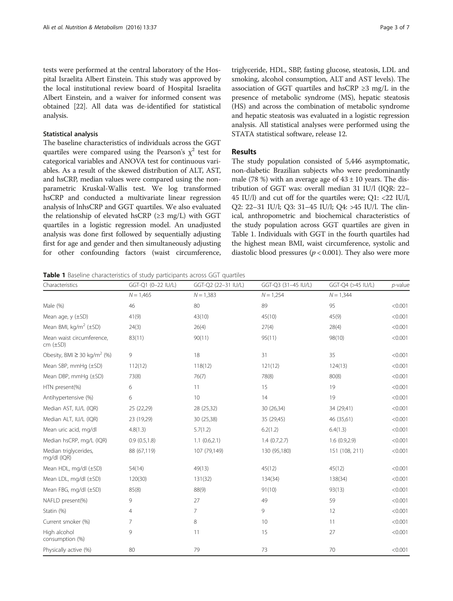tests were performed at the central laboratory of the Hospital Israelita Albert Einstein. This study was approved by the local institutional review board of Hospital Israelita Albert Einstein, and a waiver for informed consent was obtained [\[22\]](#page-6-0). All data was de-identified for statistical analysis.

# Statistical analysis

The baseline characteristics of individuals across the GGT quartiles were compared using the Pearson's  $\chi^2$  test for categorical variables and ANOVA test for continuous variables. As a result of the skewed distribution of ALT, AST, and hsCRP, median values were compared using the nonparametric Kruskal-Wallis test. We log transformed hsCRP and conducted a multivariate linear regression analysis of lnhsCRP and GGT quartiles. We also evaluated the relationship of elevated hsCRP ( $\geq$ 3 mg/L) with GGT quartiles in a logistic regression model. An unadjusted analysis was done first followed by sequentially adjusting first for age and gender and then simultaneously adjusting for other confounding factors (waist circumference,

triglyceride, HDL, SBP, fasting glucose, steatosis, LDL and smoking, alcohol consumption, ALT and AST levels). The association of GGT quartiles and hsCRP  $\geq$ 3 mg/L in the presence of metabolic syndrome (MS), hepatic steatosis (HS) and across the combination of metabolic syndrome and hepatic steatosis was evaluated in a logistic regression analysis. All statistical analyses were performed using the STATA statistical software, release 12.

# Results

The study population consisted of 5,446 asymptomatic, non-diabetic Brazilian subjects who were predominantly male (78 %) with an average age of  $43 \pm 10$  years. The distribution of GGT was: overall median 31 IU/l (IQR: 22– 45 IU/l) and cut off for the quartiles were; Q1: <22 IU/l, Q2: 22–31 IU/l; Q3: 31–45 IU/l; Q4: >45 IU/l. The clinical, anthropometric and biochemical characteristics of the study population across GGT quartiles are given in Table 1. Individuals with GGT in the fourth quartiles had the highest mean BMI, waist circumference, systolic and diastolic blood pressures ( $p < 0.001$ ). They also were more

**Table 1** Baseline characteristics of study participants across GGT quartiles

| Characteristics                              | GGT-Q1 (0-22 IU/L) | GGT-Q2 (22-31 IU/L) | GGT-Q3 (31-45 IU/L) | GGT-Q4 (>45 IU/L) | $p$ -value |
|----------------------------------------------|--------------------|---------------------|---------------------|-------------------|------------|
|                                              | $N = 1,465$        | $N = 1,383$         | $N = 1,254$         | $N = 1,344$       |            |
| Male (%)                                     | 46                 | 80                  | 89                  | 95                | < 0.001    |
| Mean age, $y$ ( $\pm$ SD)                    | 41(9)              | 43(10)              | 45(10)              | 45(9)             | < 0.001    |
| Mean BMI, kg/m <sup>2</sup> ( $\pm$ SD)      | 24(3)              | 26(4)               | 27(4)               | 28(4)             | < 0.001    |
| Mean waist circumference,<br>$cm (\pm SD)$   | 83(11)             | 90(11)              | 95(11)              | 98(10)            | < 0.001    |
| Obesity, BMI $\geq$ 30 kg/m <sup>2</sup> (%) | 9                  | 18                  | 31                  | 35                | < 0.001    |
| Mean SBP, mmHg $(\pm SD)$                    | 112(12)            | 118(12)             | 121(12)             | 124(13)           | < 0.001    |
| Mean DBP, mmHg (±SD)                         | 73(8)              | 76(7)               | 78(8)               | 80(8)             | < 0.001    |
| HTN present(%)                               | 6                  | 11                  | 15                  | 19                | < 0.001    |
| Antihypertensive (%)                         | 6                  | 10 <sup>°</sup>     | 14                  | 19                | < 0.001    |
| Median AST, IU/L (IQR)                       | 25 (22,29)         | 28 (25,32)          | 30 (26,34)          | 34 (29,41)        | < 0.001    |
| Median ALT, IU/L (IQR)                       | 23 (19,29)         | 30 (25,38)          | 35 (29,45)          | 46 (35,61)        | < 0.001    |
| Mean uric acid, mg/dl                        | 4.8(1.3)           | 5.7(1.2)            | 6.2(1.2)            | 6.4(1.3)          | < 0.001    |
| Median hsCRP, mg/L (IQR)                     | 0.9(0.5, 1.8)      | 1.1(0.6,2.1)        | 1.4(0.7,2.7)        | 1.6(0.9,2.9)      | < 0.001    |
| Median triglycerides,<br>mg/dl (IQR)         | 88 (67,119)        | 107 (79,149)        | 130 (95,180)        | 151 (108, 211)    | < 0.001    |
| Mean HDL, mg/dl (±SD)                        | 54(14)             | 49(13)              | 45(12)              | 45(12)            | < 0.001    |
| Mean LDL, mg/dl (±SD)                        | 120(30)            | 131(32)             | 134(34)             | 138(34)           | < 0.001    |
| Mean FBG, mg/dl (±SD)                        | 85(8)              | 88(9)               | 91(10)              | 93(13)            | < 0.001    |
| NAFLD present(%)                             | 9                  | 27                  | 49                  | 59                | < 0.001    |
| Statin (%)                                   | 4                  | $\overline{7}$      | 9                   | 12                | < 0.001    |
| Current smoker (%)                           | 7                  | 8                   | 10                  | 11                | < 0.001    |
| High alcohol<br>consumption (%)              | 9                  | 11                  | 15                  | 27                | < 0.001    |
| Physically active (%)                        | 80                 | 79                  | 73                  | 70                | < 0.001    |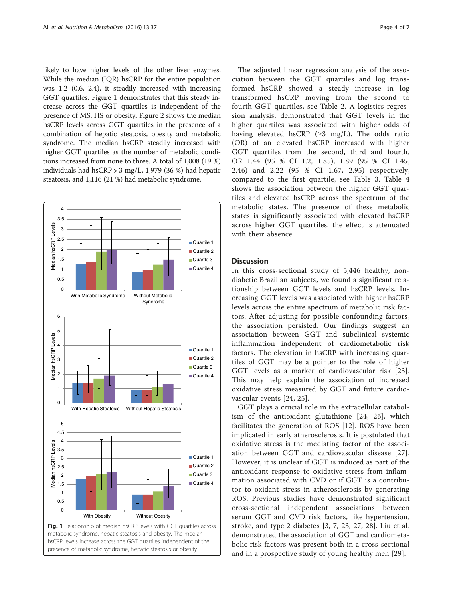likely to have higher levels of the other liver enzymes. While the median (IQR) hsCRP for the entire population was 1.2 (0.6, 2.4), it steadily increased with increasing GGT quartiles. Figure 1 demonstrates that this steady increase across the GGT quartiles is independent of the presence of MS, HS or obesity. Figure [2](#page-4-0) shows the median hsCRP levels across GGT quartiles in the presence of a combination of hepatic steatosis, obesity and metabolic syndrome. The median hsCRP steadily increased with higher GGT quartiles as the number of metabolic conditions increased from none to three. A total of 1,008 (19 %) individuals had hsCRP > 3 mg/L, 1,979 (36 %) had hepatic steatosis, and 1,116 (21 %) had metabolic syndrome.



hsCRP levels increase across the GGT quartiles independent of the presence of metabolic syndrome, hepatic steatosis or obesity

The adjusted linear regression analysis of the association between the GGT quartiles and log transformed hsCRP showed a steady increase in log transformed hsCRP moving from the second to fourth GGT quartiles, see Table [2](#page-4-0). A logistics regression analysis, demonstrated that GGT levels in the higher quartiles was associated with higher odds of having elevated hsCRP ( $\geq$ 3 mg/L). The odds ratio (OR) of an elevated hsCRP increased with higher GGT quartiles from the second, third and fourth, OR 1.44 (95 % CI 1.2, 1.85), 1.89 (95 % CI 1.45, 2.46) and 2.22 (95 % CI 1.67, 2.95) respectively, compared to the first quartile, see Table [3.](#page-4-0) Table [4](#page-5-0) shows the association between the higher GGT quartiles and elevated hsCRP across the spectrum of the metabolic states. The presence of these metabolic states is significantly associated with elevated hsCRP across higher GGT quartiles, the effect is attenuated with their absence.

# **Discussion**

In this cross-sectional study of 5,446 healthy, nondiabetic Brazilian subjects, we found a significant relationship between GGT levels and hsCRP levels. Increasing GGT levels was associated with higher hsCRP levels across the entire spectrum of metabolic risk factors. After adjusting for possible confounding factors, the association persisted. Our findings suggest an association between GGT and subclinical systemic inflammation independent of cardiometabolic risk factors. The elevation in hsCRP with increasing quartiles of GGT may be a pointer to the role of higher GGT levels as a marker of cardiovascular risk [[23](#page-6-0)]. This may help explain the association of increased oxidative stress measured by GGT and future cardiovascular events [[24, 25](#page-6-0)].

GGT plays a crucial role in the extracellular catabolism of the antioxidant glutathione [[24, 26](#page-6-0)], which facilitates the generation of ROS [[12](#page-6-0)]. ROS have been implicated in early atherosclerosis. It is postulated that oxidative stress is the mediating factor of the association between GGT and cardiovascular disease [[27](#page-6-0)]. However, it is unclear if GGT is induced as part of the antioxidant response to oxidative stress from inflammation associated with CVD or if GGT is a contributor to oxidant stress in atherosclerosis by generating ROS. Previous studies have demonstrated significant cross-sectional independent associations between serum GGT and CVD risk factors, like hypertension, stroke, and type 2 diabetes [[3](#page-6-0), [7](#page-6-0), [23](#page-6-0), [27](#page-6-0), [28](#page-6-0)]. Liu et al. demonstrated the association of GGT and cardiometabolic risk factors was present both in a cross-sectional and in a prospective study of young healthy men [\[29](#page-6-0)].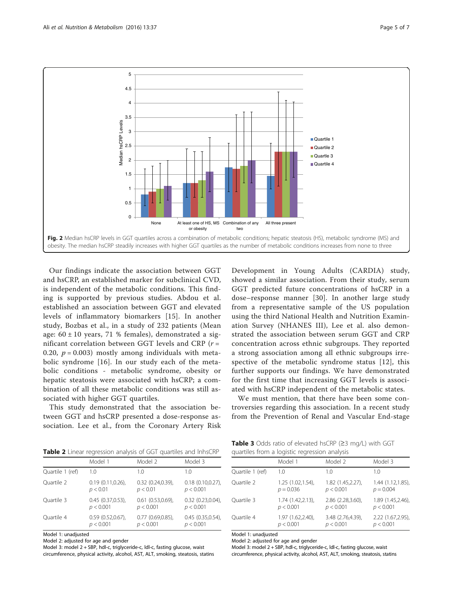<span id="page-4-0"></span>

Our findings indicate the association between GGT and hsCRP, an established marker for subclinical CVD, is independent of the metabolic conditions. This finding is supported by previous studies. Abdou et al. established an association between GGT and elevated levels of inflammatory biomarkers [[15](#page-6-0)]. In another study, Bozbas et al., in a study of 232 patients (Mean age:  $60 \pm 10$  years, 71 % females), demonstrated a significant correlation between GGT levels and CRP ( $r =$ 0.20,  $p = 0.003$ ) mostly among individuals with metabolic syndrome [\[16\]](#page-6-0). In our study each of the metabolic conditions - metabolic syndrome, obesity or hepatic steatosis were associated with hsCRP; a combination of all these metabolic conditions was still associated with higher GGT quartiles.

This study demonstrated that the association between GGT and hsCRP presented a dose-response association. Lee et al., from the Coronary Artery Risk

Development in Young Adults (CARDIA) study, showed a similar association. From their study, serum GGT predicted future concentrations of hsCRP in a dose–response manner [[30\]](#page-6-0). In another large study from a representative sample of the US population using the third National Health and Nutrition Examination Survey (NHANES III), Lee et al. also demonstrated the association between serum GGT and CRP concentration across ethnic subgroups. They reported a strong association among all ethnic subgroups irrespective of the metabolic syndrome status [\[12](#page-6-0)], this further supports our findings. We have demonstrated for the first time that increasing GGT levels is associated with hsCRP independent of the metabolic states.

We must mention, that there have been some controversies regarding this association. In a recent study from the Prevention of Renal and Vascular End-stage

| Table 2 Linear regression analysis of GGT quartiles and InhsCRP |  |  |  |
|-----------------------------------------------------------------|--|--|--|
|-----------------------------------------------------------------|--|--|--|

| <b>ROLL 2</b> Linear regression analysis or GOT guarancs and import |                         |                         |                         |
|---------------------------------------------------------------------|-------------------------|-------------------------|-------------------------|
|                                                                     | Model 1                 | Model 2                 | Model 3                 |
| Quartile 1 (ref)                                                    | 1.0                     | 1.0                     | 1.0                     |
| Ouartile 2                                                          | $0.19(0.11, 0.26)$ ,    | $0.32$ $(0.24, 0.39)$ , | $0.18$ $(0.10, 0.27)$ , |
|                                                                     | p < 0.01                | p < 0.01                | p < 0.001               |
| Ouartile 3                                                          | $0.45$ $(0.37, 0.53)$ , | $0.61$ $(0.53, 0.69)$ , | $0.32$ $(0.23, 0.04)$ , |
|                                                                     | p < 0.001               | p < 0.001               | p < 0.001               |
| Ouartile 4                                                          | $0.59(0.52,0.67)$ ,     | $0.77(0.69, 0.85)$ ,    | 0.45(0.35, 0.54)        |
|                                                                     | p < 0.001               | p < 0.001               | p < 0.001               |

Model 1: unadjusted

Model 2: adjusted for age and gender

Model 3: model 2 + SBP, hdl-c, triglyceride-c, ldl-c, fasting glucose, waist circumference, physical activity, alcohol, AST, ALT, smoking, steatosis, statins

Table 3 Odds ratio of elevated hsCRP (≥3 mg/L) with GGT quartiles from a logistic regression analysis

| gaartiics from a rogistic regression analysis |                   |                   |                    |
|-----------------------------------------------|-------------------|-------------------|--------------------|
|                                               | Model 1           | Model 2           | Model 3            |
| Quartile 1 (ref)                              | 1.0               | 1.0               | 1.0                |
| Quartile 2                                    | 1.25 (1.02,1.54), | 1.82 (1.45,2.27), | 1.44 (1.12,1.85),  |
|                                               | $p = 0.036$       | p < 0.001         | $p = 0.004$        |
| Quartile 3                                    | 1.74 (1.42,2.13), | 2.86 (2.28,3.60), | 1.89 (1.45,2.46),  |
|                                               | p < 0.001         | p < 0.001         | p < 0.001          |
| Quartile 4                                    | 1.97 (1.62,2.40), | 3.48 (2.76,4.39), | 2.22 (1.67, 2.95), |
|                                               | p < 0.001         | p < 0.001         | p < 0.001          |

Model 1: unadjusted

Model 2: adjusted for age and gender

Model 3: model 2 + SBP, hdl-c, triglyceride-c, ldl-c, fasting glucose, waist

circumference, physical activity, alcohol, AST, ALT, smoking, steatosis, statins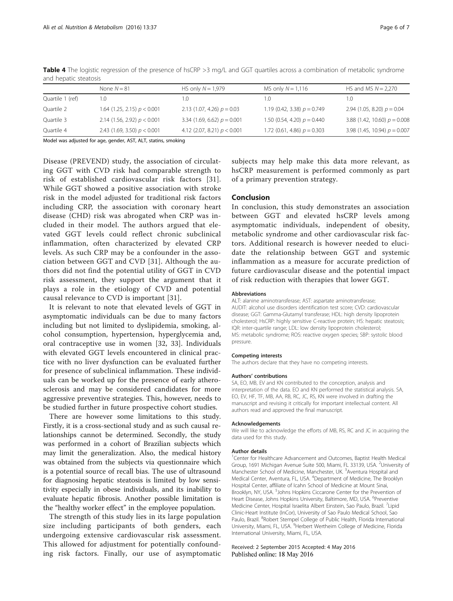|                  | None $N = 81$                 | HS only $N = 1,979$           | MS only $N = 1,116$           | HS and MS $N = 2,270$          |
|------------------|-------------------------------|-------------------------------|-------------------------------|--------------------------------|
| Quartile 1 (ref) | 1.0                           | .0                            | 1.0                           | 1.0                            |
| Quartile 2       | 1.64 (1.25, 2.15) $p < 0.001$ | 2.13 (1.07, 4.26) $p = 0.03$  | 1.19 (0.42, 3.38) $p = 0.749$ | 2.94 (1.05, 8.20) $p = 0.04$   |
| Quartile 3       | 2.14 (1.56, 2.92) $p < 0.001$ | 3.34 (1.69, 6.62) $p = 0.001$ | 1.50 (0.54, 4.20) $p = 0.440$ | 3.88 (1.42, 10.60) $p = 0.008$ |
| Quartile 4       | 2.43 (1.69, 3.50) $p < 0.001$ | 4.12 (2.07, 8.21) $p < 0.001$ | 1.72 $(0.61, 4.86) p = 0.303$ | 3.98 (1.45, 10.94) $p = 0.007$ |
|                  |                               |                               |                               |                                |

<span id="page-5-0"></span>Table 4 The logistic regression of the presence of hsCRP >3 mg/L and GGT quartiles across a combination of metabolic syndrome and hepatic steatosis

Model was adjusted for age, gender, AST, ALT, statins, smoking

Disease (PREVEND) study, the association of circulating GGT with CVD risk had comparable strength to risk of established cardiovascular risk factors [[31](#page-6-0)]. While GGT showed a positive association with stroke risk in the model adjusted for traditional risk factors including CRP, the association with coronary heart disease (CHD) risk was abrogated when CRP was included in their model. The authors argued that elevated GGT levels could reflect chronic subclinical inflammation, often characterized by elevated CRP levels. As such CRP may be a confounder in the association between GGT and CVD [[31](#page-6-0)]. Although the authors did not find the potential utility of GGT in CVD risk assessment, they support the argument that it plays a role in the etiology of CVD and potential causal relevance to CVD is important [[31](#page-6-0)].

It is relevant to note that elevated levels of GGT in asymptomatic individuals can be due to many factors including but not limited to dyslipidemia, smoking, alcohol consumption, hypertension, hyperglycemia and, oral contraceptive use in women [[32, 33\]](#page-6-0). Individuals with elevated GGT levels encountered in clinical practice with no liver dysfunction can be evaluated further for presence of subclinical inflammation. These individuals can be worked up for the presence of early atherosclerosis and may be considered candidates for more aggressive preventive strategies. This, however, needs to be studied further in future prospective cohort studies.

There are however some limitations to this study. Firstly, it is a cross-sectional study and as such causal relationships cannot be determined. Secondly, the study was performed in a cohort of Brazilian subjects which may limit the generalization. Also, the medical history was obtained from the subjects via questionnaire which is a potential source of recall bias. The use of ultrasound for diagnosing hepatic steatosis is limited by low sensitivity especially in obese individuals, and its inability to evaluate hepatic fibrosis. Another possible limitation is the "healthy worker effect" in the employee population.

The strength of this study lies in its large population size including participants of both genders, each undergoing extensive cardiovascular risk assessment. This allowed for adjustment for potentially confounding risk factors. Finally, our use of asymptomatic

subjects may help make this data more relevant, as hsCRP measurement is performed commonly as part of a primary prevention strategy.

# Conclusion

In conclusion, this study demonstrates an association between GGT and elevated hsCRP levels among asymptomatic individuals, independent of obesity, metabolic syndrome and other cardiovascular risk factors. Additional research is however needed to elucidate the relationship between GGT and systemic inflammation as a measure for accurate prediction of future cardiovascular disease and the potential impact of risk reduction with therapies that lower GGT.

#### **Abbreviations**

ALT: alanine aminotransferase; AST: aspartate aminotransferase; AUDIT: alcohol use disorders identification test score; CVD: cardiovascular disease; GGT: Gamma-Glutamyl transferase; HDL: high density lipoprotein cholesterol; HsCRP: highly sensitive C-reactive protein; HS: hepatic steatosis; IQR: inter-quartile range; LDL: low density lipoprotein cholesterol; MS: metabolic syndrome; ROS: reactive oxygen species; SBP: systolic blood pressure.

#### Competing interests

The authors declare that they have no competing interests.

#### Authors' contributions

SA, EO, MB, EV and KN contributed to the conception, analysis and interpretation of the data. EO and KN performed the statistical analysis. SA, EO, EV, HF, TF, MB, AA, RB, RC, JC, RS, KN were involved in drafting the manuscript and revising it critically for important intellectual content. All authors read and approved the final manuscript.

#### Acknowledgements

We will like to acknowledge the efforts of MB, RS, RC and JC in acquiring the data used for this study.

### Author details

<sup>1</sup> Center for Healthcare Advancement and Outcomes, Baptist Health Medical Group, 1691 Michigan Avenue Suite 500, Miami, FL 33139, USA. <sup>2</sup>University of Manchester School of Medicine, Manchester, UK.<sup>3</sup> Aventura Hospital and Medical Center, Aventura, FL, USA. <sup>4</sup>Department of Medicine, The Brooklyn Hospital Center, affiliate of Icahn School of Medicine at Mount Sinai, Brooklyn, NY, USA. <sup>5</sup>Johns Hopkins Ciccarone Center for the Prevention of Heart Disease, Johns Hopkins University, Baltimore, MD, USA. <sup>6</sup>Preventive Medicine Center, Hospital Israelita Albert Einstein, Sao Paulo, Brazil. <sup>7</sup>Lipid Clinic-Heart Institute (InCor), University of Sao Paulo Medical School, Sao Paulo, Brazil. <sup>8</sup>Robert Stempel College of Public Health, Florida International University, Miami, FL, USA. <sup>9</sup>Herbert Wertheim College of Medicine, Florida International University, Miami, FL, USA.

## Received: 2 September 2015 Accepted: 4 May 2016 Published online: 18 May 2016